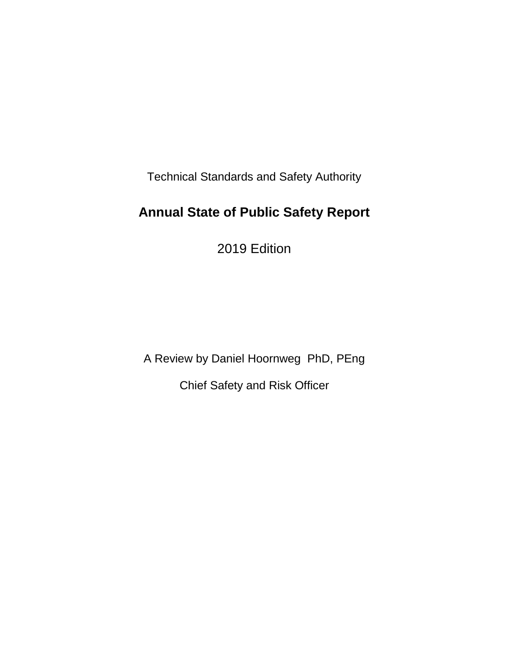Technical Standards and Safety Authority

# **Annual State of Public Safety Report**

2019 Edition

A Review by Daniel Hoornweg PhD, PEng Chief Safety and Risk Officer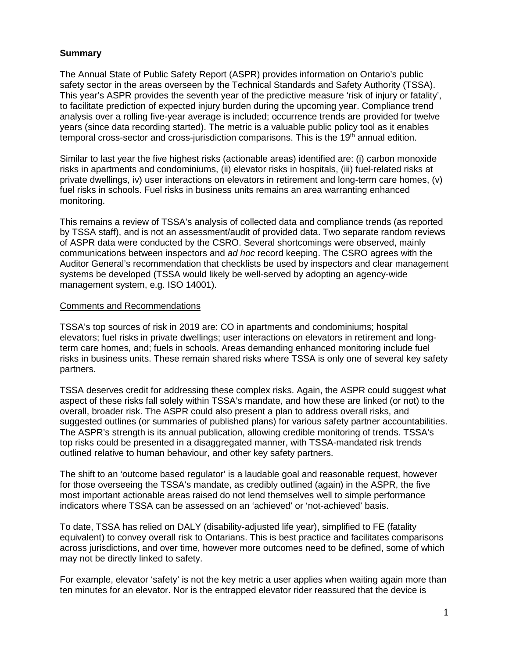## **Summary**

The Annual State of Public Safety Report (ASPR) provides information on Ontario's public safety sector in the areas overseen by the Technical Standards and Safety Authority (TSSA). This year's ASPR provides the seventh year of the predictive measure 'risk of injury or fatality', to facilitate prediction of expected injury burden during the upcoming year. Compliance trend analysis over a rolling five-year average is included; occurrence trends are provided for twelve years (since data recording started). The metric is a valuable public policy tool as it enables temporal cross-sector and cross-jurisdiction comparisons. This is the 19<sup>th</sup> annual edition.

Similar to last year the five highest risks (actionable areas) identified are: (i) carbon monoxide risks in apartments and condominiums, (ii) elevator risks in hospitals, (iii) fuel-related risks at private dwellings, iv) user interactions on elevators in retirement and long-term care homes, (v) fuel risks in schools. Fuel risks in business units remains an area warranting enhanced monitoring.

This remains a review of TSSA's analysis of collected data and compliance trends (as reported by TSSA staff), and is not an assessment/audit of provided data. Two separate random reviews of ASPR data were conducted by the CSRO. Several shortcomings were observed, mainly communications between inspectors and *ad hoc* record keeping. The CSRO agrees with the Auditor General's recommendation that checklists be used by inspectors and clear management systems be developed (TSSA would likely be well-served by adopting an agency-wide management system, e.g. ISO 14001).

#### Comments and Recommendations

TSSA's top sources of risk in 2019 are: CO in apartments and condominiums; hospital elevators; fuel risks in private dwellings; user interactions on elevators in retirement and longterm care homes, and; fuels in schools. Areas demanding enhanced monitoring include fuel risks in business units. These remain shared risks where TSSA is only one of several key safety partners.

TSSA deserves credit for addressing these complex risks. Again, the ASPR could suggest what aspect of these risks fall solely within TSSA's mandate, and how these are linked (or not) to the overall, broader risk. The ASPR could also present a plan to address overall risks, and suggested outlines (or summaries of published plans) for various safety partner accountabilities. The ASPR's strength is its annual publication, allowing credible monitoring of trends. TSSA's top risks could be presented in a disaggregated manner, with TSSA-mandated risk trends outlined relative to human behaviour, and other key safety partners.

The shift to an 'outcome based regulator' is a laudable goal and reasonable request, however for those overseeing the TSSA's mandate, as credibly outlined (again) in the ASPR, the five most important actionable areas raised do not lend themselves well to simple performance indicators where TSSA can be assessed on an 'achieved' or 'not-achieved' basis.

To date, TSSA has relied on DALY (disability-adjusted life year), simplified to FE (fatality equivalent) to convey overall risk to Ontarians. This is best practice and facilitates comparisons across jurisdictions, and over time, however more outcomes need to be defined, some of which may not be directly linked to safety.

For example, elevator 'safety' is not the key metric a user applies when waiting again more than ten minutes for an elevator. Nor is the entrapped elevator rider reassured that the device is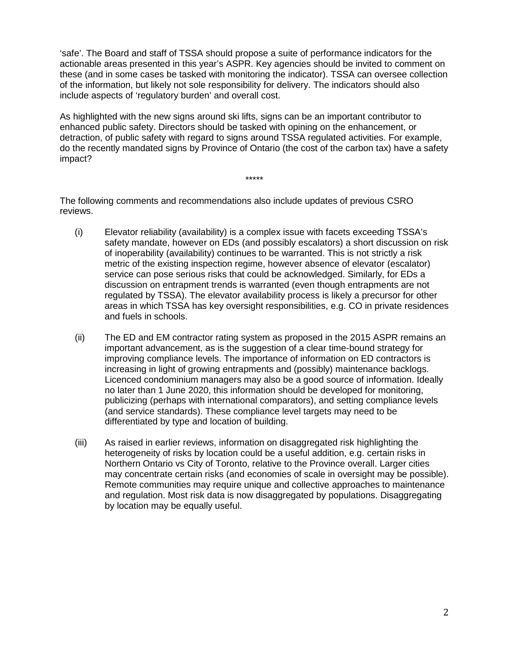'safe'. The Board and staff of TSSA should propose a suite of performance indicators for the actionable areas presented in this year's ASPR. Key agencies should be invited to comment on these (and in some cases be tasked with monitoring the indicator). TSSA can oversee collection of the information, but likely not sole responsibility for delivery. The indicators should also include aspects of 'regulatory burden' and overall cost.

As highlighted with the new signs around ski lifts, signs can be an important contributor to enhanced public safety. Directors should be tasked with opining on the enhancement, or detraction, of public safety with regard to signs around TSSA regulated activities. For example, do the recently mandated signs by Province of Ontario (the cost of the carbon tax) have a safety impact?

\*\*\*\*\*

The following comments and recommendations also include updates of previous CSRO reviews.

- (i) Elevator reliability (availability) is a complex issue with facets exceeding TSSA's safety mandate, however on EDs (and possibly escalators) a short discussion on risk of inoperability (availability) continues to be warranted. This is not strictly a risk metric of the existing inspection regime, however absence of elevator (escalator) service can pose serious risks that could be acknowledged. Similarly, for EDs a discussion on entrapment trends is warranted (even though entrapments are not regulated by TSSA). The elevator availability process is likely a precursor for other areas in which TSSA has key oversight responsibilities, e.g. CO in private residences and fuels in schools.
- (ii) The ED and EM contractor rating system as proposed in the 2015 ASPR remains an important advancement, as is the suggestion of a clear time-bound strategy for improving compliance levels. The importance of information on ED contractors is increasing in light of growing entrapments and (possibly) maintenance backlogs. Licenced condominium managers may also be a good source of information. Ideally no later than 1 June 2020, this information should be developed for monitoring, publicizing (perhaps with international comparators), and setting compliance levels (and service standards). These compliance level targets may need to be differentiated by type and location of building.
- (iii) As raised in earlier reviews, information on disaggregated risk highlighting the heterogeneity of risks by location could be a useful addition, e.g. certain risks in Northern Ontario vs City of Toronto, relative to the Province overall. Larger cities may concentrate certain risks (and economies of scale in oversight may be possible). Remote communities may require unique and collective approaches to maintenance and regulation. Most risk data is now disaggregated by populations. Disaggregating by location may be equally useful.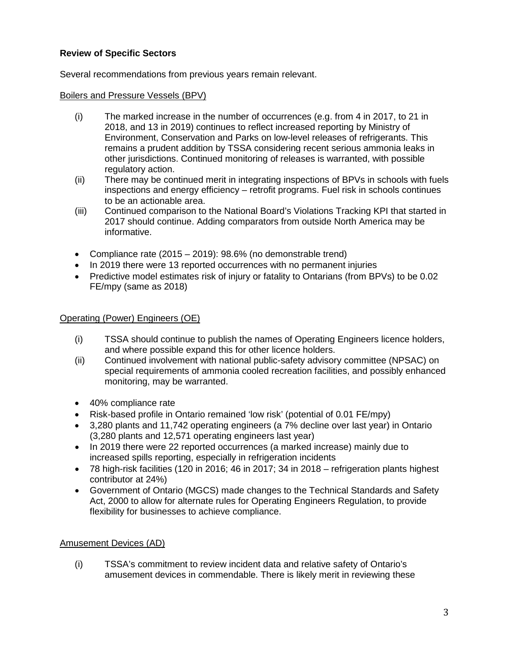## **Review of Specific Sectors**

Several recommendations from previous years remain relevant.

#### Boilers and Pressure Vessels (BPV)

- (i) The marked increase in the number of occurrences (e.g. from 4 in 2017, to 21 in 2018, and 13 in 2019) continues to reflect increased reporting by Ministry of Environment, Conservation and Parks on low-level releases of refrigerants. This remains a prudent addition by TSSA considering recent serious ammonia leaks in other jurisdictions. Continued monitoring of releases is warranted, with possible regulatory action.
- (ii) There may be continued merit in integrating inspections of BPVs in schools with fuels inspections and energy efficiency – retrofit programs. Fuel risk in schools continues to be an actionable area.
- (iii) Continued comparison to the National Board's Violations Tracking KPI that started in 2017 should continue. Adding comparators from outside North America may be informative.
- Compliance rate (2015 2019): 98.6% (no demonstrable trend)
- In 2019 there were 13 reported occurrences with no permanent injuries
- Predictive model estimates risk of injury or fatality to Ontarians (from BPVs) to be 0.02 FE/mpy (same as 2018)

## Operating (Power) Engineers (OE)

- (i) TSSA should continue to publish the names of Operating Engineers licence holders, and where possible expand this for other licence holders.
- (ii) Continued involvement with national public-safety advisory committee (NPSAC) on special requirements of ammonia cooled recreation facilities, and possibly enhanced monitoring, may be warranted.
- 40% compliance rate
- Risk-based profile in Ontario remained 'low risk' (potential of 0.01 FE/mpy)
- 3,280 plants and 11,742 operating engineers (a 7% decline over last year) in Ontario (3,280 plants and 12,571 operating engineers last year)
- In 2019 there were 22 reported occurrences (a marked increase) mainly due to increased spills reporting, especially in refrigeration incidents
- 78 high-risk facilities (120 in 2016; 46 in 2017; 34 in 2018 refrigeration plants highest contributor at 24%)
- Government of Ontario (MGCS) made changes to the Technical Standards and Safety Act, 2000 to allow for alternate rules for Operating Engineers Regulation, to provide flexibility for businesses to achieve compliance.

## Amusement Devices (AD)

(i) TSSA's commitment to review incident data and relative safety of Ontario's amusement devices in commendable. There is likely merit in reviewing these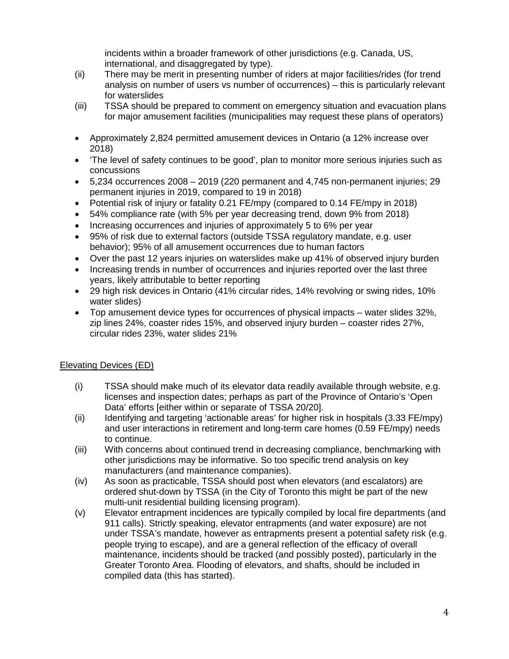incidents within a broader framework of other jurisdictions (e.g. Canada, US, international, and disaggregated by type).

- (ii) There may be merit in presenting number of riders at major facilities/rides (for trend analysis on number of users vs number of occurrences) – this is particularly relevant for waterslides
- (iii) TSSA should be prepared to comment on emergency situation and evacuation plans for major amusement facilities (municipalities may request these plans of operators)
- Approximately 2,824 permitted amusement devices in Ontario (a 12% increase over 2018)
- 'The level of safety continues to be good', plan to monitor more serious injuries such as concussions
- 5,234 occurrences 2008 2019 (220 permanent and 4,745 non-permanent injuries; 29 permanent injuries in 2019, compared to 19 in 2018)
- Potential risk of injury or fatality 0.21 FE/mpy (compared to 0.14 FE/mpy in 2018)
- 54% compliance rate (with 5% per year decreasing trend, down 9% from 2018)
- Increasing occurrences and injuries of approximately 5 to 6% per year
- 95% of risk due to external factors (outside TSSA regulatory mandate, e.g. user behavior); 95% of all amusement occurrences due to human factors
- Over the past 12 years injuries on waterslides make up 41% of observed injury burden
- Increasing trends in number of occurrences and injuries reported over the last three years, likely attributable to better reporting
- 29 high risk devices in Ontario (41% circular rides, 14% revolving or swing rides, 10% water slides)
- Top amusement device types for occurrences of physical impacts water slides 32%, zip lines 24%, coaster rides 15%, and observed injury burden – coaster rides 27%, circular rides 23%, water slides 21%

# Elevating Devices (ED)

- (i) TSSA should make much of its elevator data readily available through website, e.g. licenses and inspection dates; perhaps as part of the Province of Ontario's 'Open Data' efforts [either within or separate of TSSA 20/20].
- (ii) Identifying and targeting 'actionable areas' for higher risk in hospitals (3.33 FE/mpy) and user interactions in retirement and long-term care homes (0.59 FE/mpy) needs to continue.
- (iii) With concerns about continued trend in decreasing compliance, benchmarking with other jurisdictions may be informative. So too specific trend analysis on key manufacturers (and maintenance companies).
- (iv) As soon as practicable, TSSA should post when elevators (and escalators) are ordered shut-down by TSSA (in the City of Toronto this might be part of the new multi-unit residential building licensing program).
- (v) Elevator entrapment incidences are typically compiled by local fire departments (and 911 calls). Strictly speaking, elevator entrapments (and water exposure) are not under TSSA's mandate, however as entrapments present a potential safety risk (e.g. people trying to escape), and are a general reflection of the efficacy of overall maintenance, incidents should be tracked (and possibly posted), particularly in the Greater Toronto Area. Flooding of elevators, and shafts, should be included in compiled data (this has started).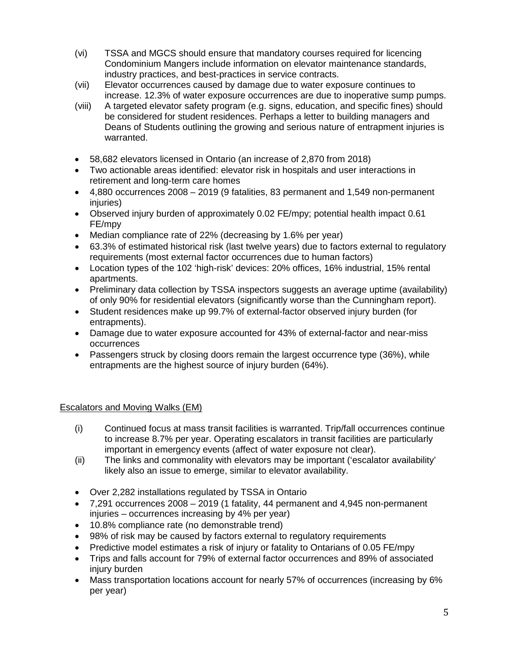- (vi) TSSA and MGCS should ensure that mandatory courses required for licencing Condominium Mangers include information on elevator maintenance standards, industry practices, and best-practices in service contracts.
- (vii) Elevator occurrences caused by damage due to water exposure continues to increase. 12.3% of water exposure occurrences are due to inoperative sump pumps.
- (viii) A targeted elevator safety program (e.g. signs, education, and specific fines) should be considered for student residences. Perhaps a letter to building managers and Deans of Students outlining the growing and serious nature of entrapment injuries is warranted.
- 58,682 elevators licensed in Ontario (an increase of 2,870 from 2018)
- Two actionable areas identified: elevator risk in hospitals and user interactions in retirement and long-term care homes
- 4,880 occurrences 2008 2019 (9 fatalities, 83 permanent and 1,549 non-permanent injuries)
- Observed injury burden of approximately 0.02 FE/mpy; potential health impact 0.61 FE/mpy
- Median compliance rate of 22% (decreasing by 1.6% per year)
- 63.3% of estimated historical risk (last twelve years) due to factors external to regulatory requirements (most external factor occurrences due to human factors)
- Location types of the 102 'high-risk' devices: 20% offices, 16% industrial, 15% rental apartments.
- Preliminary data collection by TSSA inspectors suggests an average uptime (availability) of only 90% for residential elevators (significantly worse than the Cunningham report).
- Student residences make up 99.7% of external-factor observed injury burden (for entrapments).
- Damage due to water exposure accounted for 43% of external-factor and near-miss occurrences
- Passengers struck by closing doors remain the largest occurrence type (36%), while entrapments are the highest source of injury burden (64%).

## Escalators and Moving Walks (EM)

- (i) Continued focus at mass transit facilities is warranted. Trip/fall occurrences continue to increase 8.7% per year. Operating escalators in transit facilities are particularly important in emergency events (affect of water exposure not clear).
- (ii) The links and commonality with elevators may be important ('escalator availability' likely also an issue to emerge, similar to elevator availability.
- Over 2,282 installations regulated by TSSA in Ontario
- 7,291 occurrences 2008 2019 (1 fatality, 44 permanent and 4,945 non-permanent injuries – occurrences increasing by 4% per year)
- 10.8% compliance rate (no demonstrable trend)
- 98% of risk may be caused by factors external to regulatory requirements
- Predictive model estimates a risk of injury or fatality to Ontarians of 0.05 FE/mpy
- Trips and falls account for 79% of external factor occurrences and 89% of associated injury burden
- Mass transportation locations account for nearly 57% of occurrences (increasing by 6% per year)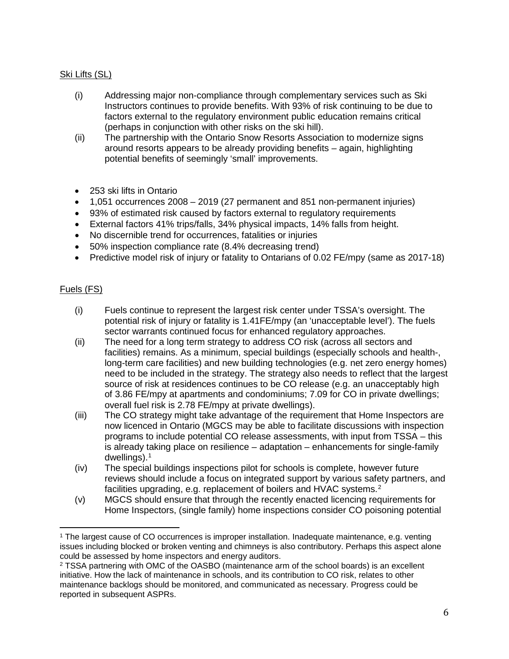# Ski Lifts (SL)

- (i) Addressing major non-compliance through complementary services such as Ski Instructors continues to provide benefits. With 93% of risk continuing to be due to factors external to the regulatory environment public education remains critical (perhaps in conjunction with other risks on the ski hill).
- (ii) The partnership with the Ontario Snow Resorts Association to modernize signs around resorts appears to be already providing benefits – again, highlighting potential benefits of seemingly 'small' improvements.
- 253 ski lifts in Ontario
- 1,051 occurrences 2008 2019 (27 permanent and 851 non-permanent injuries)
- 93% of estimated risk caused by factors external to regulatory requirements
- External factors 41% trips/falls, 34% physical impacts, 14% falls from height.
- No discernible trend for occurrences, fatalities or injuries
- 50% inspection compliance rate (8.4% decreasing trend)
- Predictive model risk of injury or fatality to Ontarians of 0.02 FE/mpy (same as 2017-18)

## Fuels (FS)

- (i) Fuels continue to represent the largest risk center under TSSA's oversight. The potential risk of injury or fatality is 1.41FE/mpy (an 'unacceptable level'). The fuels sector warrants continued focus for enhanced regulatory approaches.
- (ii) The need for a long term strategy to address CO risk (across all sectors and facilities) remains. As a minimum, special buildings (especially schools and health-, long-term care facilities) and new building technologies (e.g. net zero energy homes) need to be included in the strategy. The strategy also needs to reflect that the largest source of risk at residences continues to be CO release (e.g. an unacceptably high of 3.86 FE/mpy at apartments and condominiums; 7.09 for CO in private dwellings; overall fuel risk is 2.78 FE/mpy at private dwellings).
- (iii) The CO strategy might take advantage of the requirement that Home Inspectors are now licenced in Ontario (MGCS may be able to facilitate discussions with inspection programs to include potential CO release assessments, with input from TSSA – this is already taking place on resilience – adaptation – enhancements for single-family dwellings). [1](#page-6-0)
- (iv) The special buildings inspections pilot for schools is complete, however future reviews should include a focus on integrated support by various safety partners, and facilities upgrading, e.g. replacement of boilers and HVAC systems.<sup>[2](#page-6-1)</sup>
- (v) MGCS should ensure that through the recently enacted licencing requirements for Home Inspectors, (single family) home inspections consider CO poisoning potential

<span id="page-6-0"></span><sup>1</sup> The largest cause of CO occurrences is improper installation. Inadequate maintenance, e.g. venting issues including blocked or broken venting and chimneys is also contributory. Perhaps this aspect alone could be assessed by home inspectors and energy auditors.

<span id="page-6-1"></span><sup>2</sup> TSSA partnering with OMC of the OASBO (maintenance arm of the school boards) is an excellent initiative. How the lack of maintenance in schools, and its contribution to CO risk, relates to other maintenance backlogs should be monitored, and communicated as necessary. Progress could be reported in subsequent ASPRs.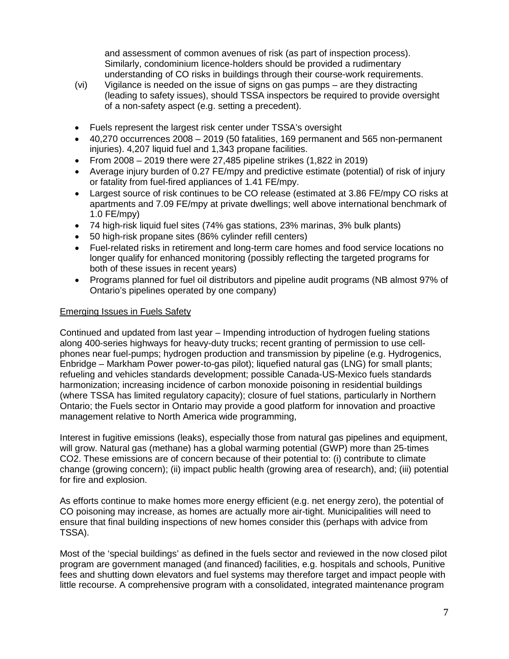and assessment of common avenues of risk (as part of inspection process). Similarly, condominium licence-holders should be provided a rudimentary understanding of CO risks in buildings through their course-work requirements.

- (vi) Vigilance is needed on the issue of signs on gas pumps are they distracting (leading to safety issues), should TSSA inspectors be required to provide oversight of a non-safety aspect (e.g. setting a precedent).
- Fuels represent the largest risk center under TSSA's oversight
- 40,270 occurrences 2008 2019 (50 fatalities, 169 permanent and 565 non-permanent injuries). 4,207 liquid fuel and 1,343 propane facilities.
- From  $2008 2019$  there were 27,485 pipeline strikes  $(1,822$  in 2019)
- Average injury burden of 0.27 FE/mpy and predictive estimate (potential) of risk of injury or fatality from fuel-fired appliances of 1.41 FE/mpy.
- Largest source of risk continues to be CO release (estimated at 3.86 FE/mpy CO risks at apartments and 7.09 FE/mpy at private dwellings; well above international benchmark of 1.0 FE/mpy)
- 74 high-risk liquid fuel sites (74% gas stations, 23% marinas, 3% bulk plants)
- 50 high-risk propane sites (86% cylinder refill centers)
- Fuel-related risks in retirement and long-term care homes and food service locations no longer qualify for enhanced monitoring (possibly reflecting the targeted programs for both of these issues in recent years)
- Programs planned for fuel oil distributors and pipeline audit programs (NB almost 97% of Ontario's pipelines operated by one company)

## Emerging Issues in Fuels Safety

Continued and updated from last year – Impending introduction of hydrogen fueling stations along 400-series highways for heavy-duty trucks; recent granting of permission to use cellphones near fuel-pumps; hydrogen production and transmission by pipeline (e.g. Hydrogenics, Enbridge – Markham Power power-to-gas pilot); liquefied natural gas (LNG) for small plants; refueling and vehicles standards development; possible Canada-US-Mexico fuels standards harmonization; increasing incidence of carbon monoxide poisoning in residential buildings (where TSSA has limited regulatory capacity); closure of fuel stations, particularly in Northern Ontario; the Fuels sector in Ontario may provide a good platform for innovation and proactive management relative to North America wide programming,

Interest in fugitive emissions (leaks), especially those from natural gas pipelines and equipment, will grow. Natural gas (methane) has a global warming potential (GWP) more than 25-times CO2. These emissions are of concern because of their potential to: (i) contribute to climate change (growing concern); (ii) impact public health (growing area of research), and; (iii) potential for fire and explosion.

As efforts continue to make homes more energy efficient (e.g. net energy zero), the potential of CO poisoning may increase, as homes are actually more air-tight. Municipalities will need to ensure that final building inspections of new homes consider this (perhaps with advice from TSSA).

Most of the 'special buildings' as defined in the fuels sector and reviewed in the now closed pilot program are government managed (and financed) facilities, e.g. hospitals and schools, Punitive fees and shutting down elevators and fuel systems may therefore target and impact people with little recourse. A comprehensive program with a consolidated, integrated maintenance program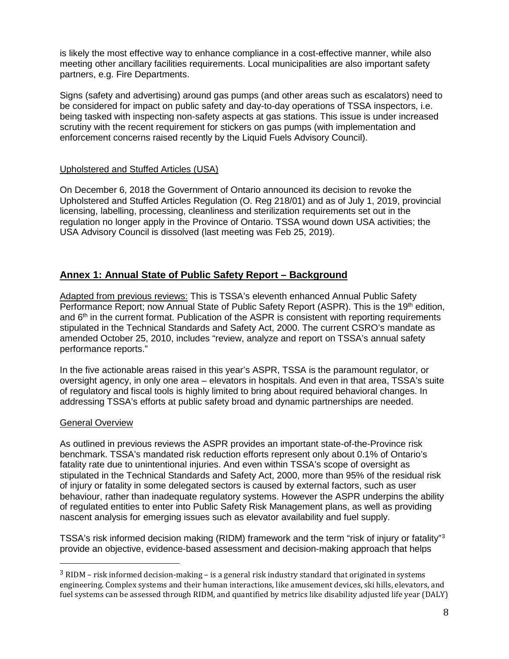is likely the most effective way to enhance compliance in a cost-effective manner, while also meeting other ancillary facilities requirements. Local municipalities are also important safety partners, e.g. Fire Departments.

Signs (safety and advertising) around gas pumps (and other areas such as escalators) need to be considered for impact on public safety and day-to-day operations of TSSA inspectors, i.e. being tasked with inspecting non-safety aspects at gas stations. This issue is under increased scrutiny with the recent requirement for stickers on gas pumps (with implementation and enforcement concerns raised recently by the Liquid Fuels Advisory Council).

## Upholstered and Stuffed Articles (USA)

On December 6, 2018 the Government of Ontario announced its decision to revoke the Upholstered and Stuffed Articles Regulation (O. Reg 218/01) and as of July 1, 2019, provincial licensing, labelling, processing, cleanliness and sterilization requirements set out in the regulation no longer apply in the Province of Ontario. TSSA wound down USA activities; the USA Advisory Council is dissolved (last meeting was Feb 25, 2019).

# **Annex 1: Annual State of Public Safety Report – Background**

Adapted from previous reviews: This is TSSA's eleventh enhanced Annual Public Safety Performance Report; now Annual State of Public Safety Report (ASPR). This is the 19<sup>th</sup> edition, and 6<sup>th</sup> in the current format. Publication of the ASPR is consistent with reporting requirements stipulated in the Technical Standards and Safety Act, 2000. The current CSRO's mandate as amended October 25, 2010, includes "review, analyze and report on TSSA's annual safety performance reports."

In the five actionable areas raised in this year's ASPR, TSSA is the paramount regulator, or oversight agency, in only one area – elevators in hospitals. And even in that area, TSSA's suite of regulatory and fiscal tools is highly limited to bring about required behavioral changes. In addressing TSSA's efforts at public safety broad and dynamic partnerships are needed.

## General Overview

As outlined in previous reviews the ASPR provides an important state-of-the-Province risk benchmark. TSSA's mandated risk reduction efforts represent only about 0.1% of Ontario's fatality rate due to unintentional injuries. And even within TSSA's scope of oversight as stipulated in the Technical Standards and Safety Act, 2000, more than 95% of the residual risk of injury or fatality in some delegated sectors is caused by external factors, such as user behaviour, rather than inadequate regulatory systems. However the ASPR underpins the ability of regulated entities to enter into Public Safety Risk Management plans, as well as providing nascent analysis for emerging issues such as elevator availability and fuel supply.

TSSA's risk informed decision making (RIDM) framework and the term "risk of injury or fatality"[3](#page-8-0) provide an objective, evidence-based assessment and decision-making approach that helps

<span id="page-8-0"></span> <sup>3</sup> RIDM – risk informed decision-making – is a general risk industry standard that originated in systems engineering. Complex systems and their human interactions, like amusement devices, ski hills, elevators, and fuel systems can be assessed through RIDM, and quantified by metrics like disability adjusted life year (DALY)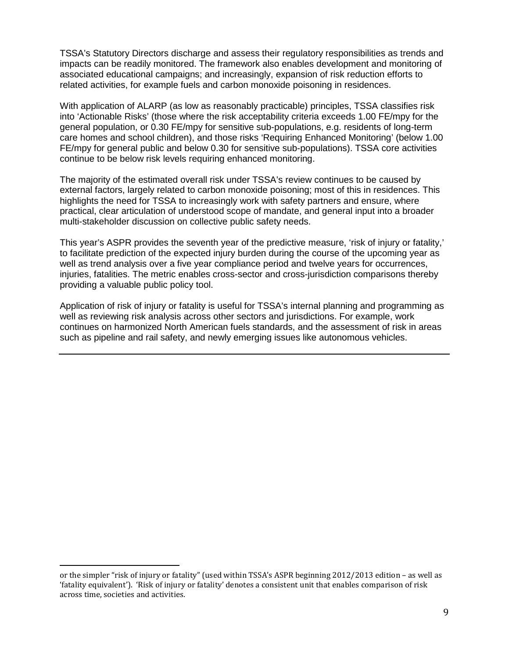TSSA's Statutory Directors discharge and assess their regulatory responsibilities as trends and impacts can be readily monitored. The framework also enables development and monitoring of associated educational campaigns; and increasingly, expansion of risk reduction efforts to related activities, for example fuels and carbon monoxide poisoning in residences.

With application of ALARP (as low as reasonably practicable) principles, TSSA classifies risk into 'Actionable Risks' (those where the risk acceptability criteria exceeds 1.00 FE/mpy for the general population, or 0.30 FE/mpy for sensitive sub-populations, e.g. residents of long-term care homes and school children), and those risks 'Requiring Enhanced Monitoring' (below 1.00 FE/mpy for general public and below 0.30 for sensitive sub-populations). TSSA core activities continue to be below risk levels requiring enhanced monitoring.

The majority of the estimated overall risk under TSSA's review continues to be caused by external factors, largely related to carbon monoxide poisoning; most of this in residences. This highlights the need for TSSA to increasingly work with safety partners and ensure, where practical, clear articulation of understood scope of mandate, and general input into a broader multi-stakeholder discussion on collective public safety needs.

This year's ASPR provides the seventh year of the predictive measure, 'risk of injury or fatality,' to facilitate prediction of the expected injury burden during the course of the upcoming year as well as trend analysis over a five year compliance period and twelve years for occurrences, injuries, fatalities. The metric enables cross-sector and cross-jurisdiction comparisons thereby providing a valuable public policy tool.

Application of risk of injury or fatality is useful for TSSA's internal planning and programming as well as reviewing risk analysis across other sectors and jurisdictions. For example, work continues on harmonized North American fuels standards, and the assessment of risk in areas such as pipeline and rail safety, and newly emerging issues like autonomous vehicles.

i<br>I or the simpler "risk of injury or fatality" (used within TSSA's ASPR beginning 2012/2013 edition – as well as 'fatality equivalent'). 'Risk of injury or fatality' denotes a consistent unit that enables comparison of risk across time, societies and activities.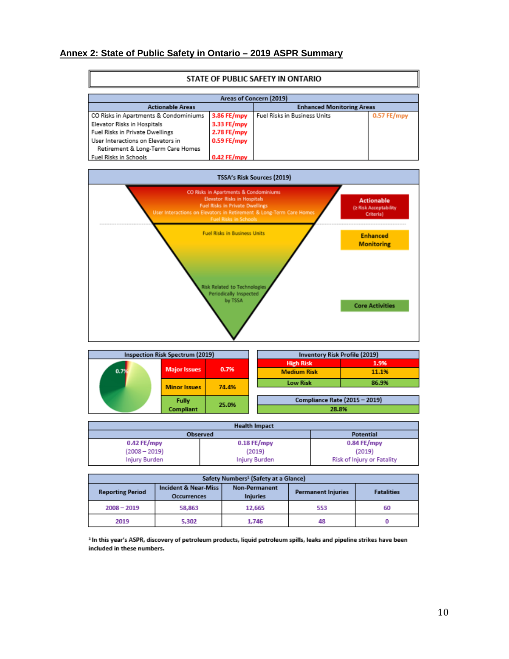## **Annex 2: State of Public Safety in Ontario – 2019 ASPR Summary**

r.

| STATE OF PUBLIC SAFETY IN ONTARIO      |             |                                     |             |  |  |
|----------------------------------------|-------------|-------------------------------------|-------------|--|--|
| Areas of Concern (2019)                |             |                                     |             |  |  |
| <b>Actionable Areas</b>                |             | <b>Enhanced Monitoring Areas</b>    |             |  |  |
| CO Risks in Apartments & Condominiums  | 3.86 FE/mpy | <b>Fuel Risks in Business Units</b> | 0.57 FE/mpy |  |  |
| Elevator Risks in Hospitals            | 3.33 FE/mpy |                                     |             |  |  |
| <b>Fuel Risks in Private Dwellings</b> | 2.78 FE/mpy |                                     |             |  |  |
| User Interactions on Elevators in      | 0.59 FE/mpy |                                     |             |  |  |
| Retirement & Long-Term Care Homes      |             |                                     |             |  |  |
| Fuel Risks in Schools                  | 0.42 FE/mpy |                                     |             |  |  |



| <b>Inspection Risk Spectrum (2019)</b>                                          |       |                    | <b>Inventory Risk Profile (2019)</b> |                               |  |
|---------------------------------------------------------------------------------|-------|--------------------|--------------------------------------|-------------------------------|--|
| <b>Major Issues</b><br>0.7%<br><b>Minor Issues</b><br><b>Fully</b><br>Compliant |       |                    | <b>High Risk</b>                     | 1.9%                          |  |
|                                                                                 | 0.7%  | <b>Medium Risk</b> | 11.1%                                |                               |  |
|                                                                                 | 74,4% |                    | <b>Low Risk</b>                      | 86.9%                         |  |
|                                                                                 |       |                    |                                      |                               |  |
|                                                                                 |       | 25.0%              |                                      | Compliance Rate (2015 - 2019) |  |
|                                                                                 |       |                    |                                      | 28.8%                         |  |

| <b>Health Impact</b>  |                      |                            |  |  |
|-----------------------|----------------------|----------------------------|--|--|
| Potential<br>Observed |                      |                            |  |  |
| $0.42$ FE/mpy         | $0.18$ FE/mpy        | 0.84 FE/mpy                |  |  |
| $(2008 - 2019)$       | (2019)               | (2019)                     |  |  |
| <b>Injury Burden</b>  | <b>Injury Burden</b> | Risk of Injury or Fatality |  |  |

| Safety Numbers <sup>1</sup> (Safety at a Glance) |                                                                                                  |        |                           |                   |  |  |
|--------------------------------------------------|--------------------------------------------------------------------------------------------------|--------|---------------------------|-------------------|--|--|
| <b>Reporting Period</b>                          | <b>Incident &amp; Near-Miss</b><br><b>Non-Permanent</b><br><b>Injuries</b><br><b>Occurrences</b> |        | <b>Permanent Injuries</b> | <b>Fatalities</b> |  |  |
| $2008 - 2019$                                    | 58,863                                                                                           | 12,665 | 553                       | 60                |  |  |
| 2019                                             | 5.302                                                                                            | 1.746  | 48                        |                   |  |  |

<sup>1</sup> In this year's ASPR, discovery of petroleum products, liquid petroleum spills, leaks and pipeline strikes have been included in these numbers.